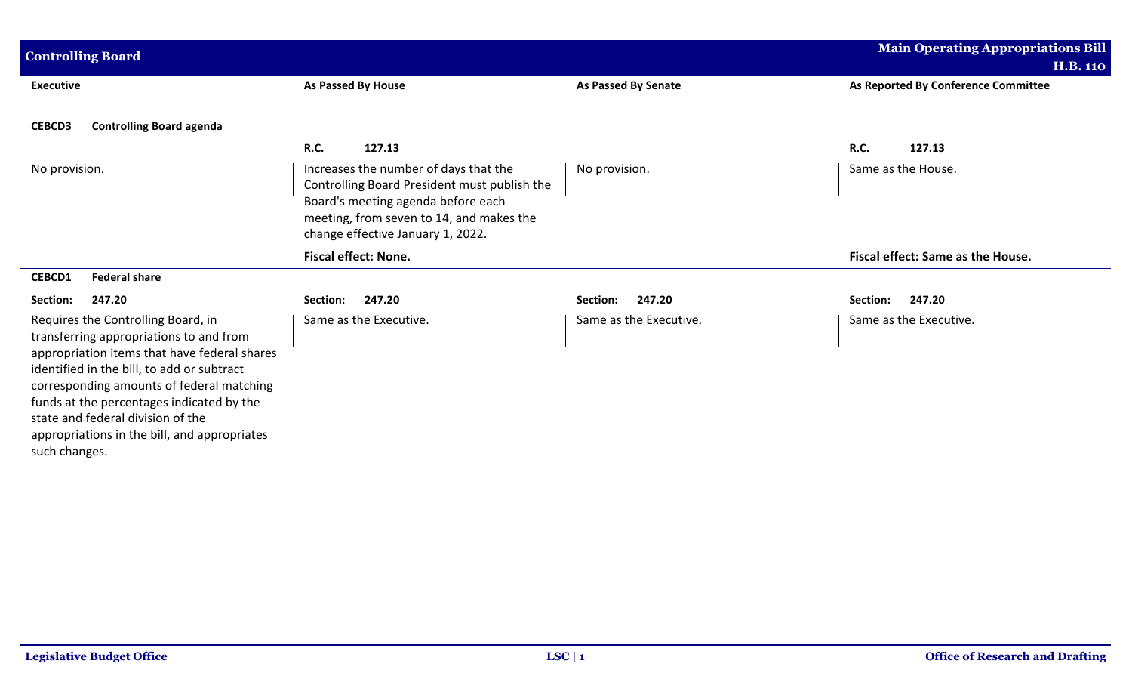| <b>Controlling Board</b>                                                                                                                                                                                                                                                                                                                                                    |                                                                                                                                                                                                              |                        | <b>Main Operating Appropriations Bill</b><br><b>H.B. 110</b> |
|-----------------------------------------------------------------------------------------------------------------------------------------------------------------------------------------------------------------------------------------------------------------------------------------------------------------------------------------------------------------------------|--------------------------------------------------------------------------------------------------------------------------------------------------------------------------------------------------------------|------------------------|--------------------------------------------------------------|
| <b>Executive</b>                                                                                                                                                                                                                                                                                                                                                            | <b>As Passed By House</b>                                                                                                                                                                                    | As Passed By Senate    | As Reported By Conference Committee                          |
| <b>CEBCD3</b><br><b>Controlling Board agenda</b>                                                                                                                                                                                                                                                                                                                            |                                                                                                                                                                                                              |                        |                                                              |
|                                                                                                                                                                                                                                                                                                                                                                             | <b>R.C.</b><br>127.13                                                                                                                                                                                        |                        | <b>R.C.</b><br>127.13                                        |
| No provision.                                                                                                                                                                                                                                                                                                                                                               | Increases the number of days that the<br>Controlling Board President must publish the<br>Board's meeting agenda before each<br>meeting, from seven to 14, and makes the<br>change effective January 1, 2022. | No provision.          | Same as the House.                                           |
|                                                                                                                                                                                                                                                                                                                                                                             | <b>Fiscal effect: None.</b>                                                                                                                                                                                  |                        | Fiscal effect: Same as the House.                            |
| <b>Federal share</b><br><b>CEBCD1</b>                                                                                                                                                                                                                                                                                                                                       |                                                                                                                                                                                                              |                        |                                                              |
| 247.20<br>Section:                                                                                                                                                                                                                                                                                                                                                          | 247.20<br>Section:                                                                                                                                                                                           | 247.20<br>Section:     | 247.20<br>Section:                                           |
| Requires the Controlling Board, in<br>transferring appropriations to and from<br>appropriation items that have federal shares<br>identified in the bill, to add or subtract<br>corresponding amounts of federal matching<br>funds at the percentages indicated by the<br>state and federal division of the<br>appropriations in the bill, and appropriates<br>such changes. | Same as the Executive.                                                                                                                                                                                       | Same as the Executive. | Same as the Executive.                                       |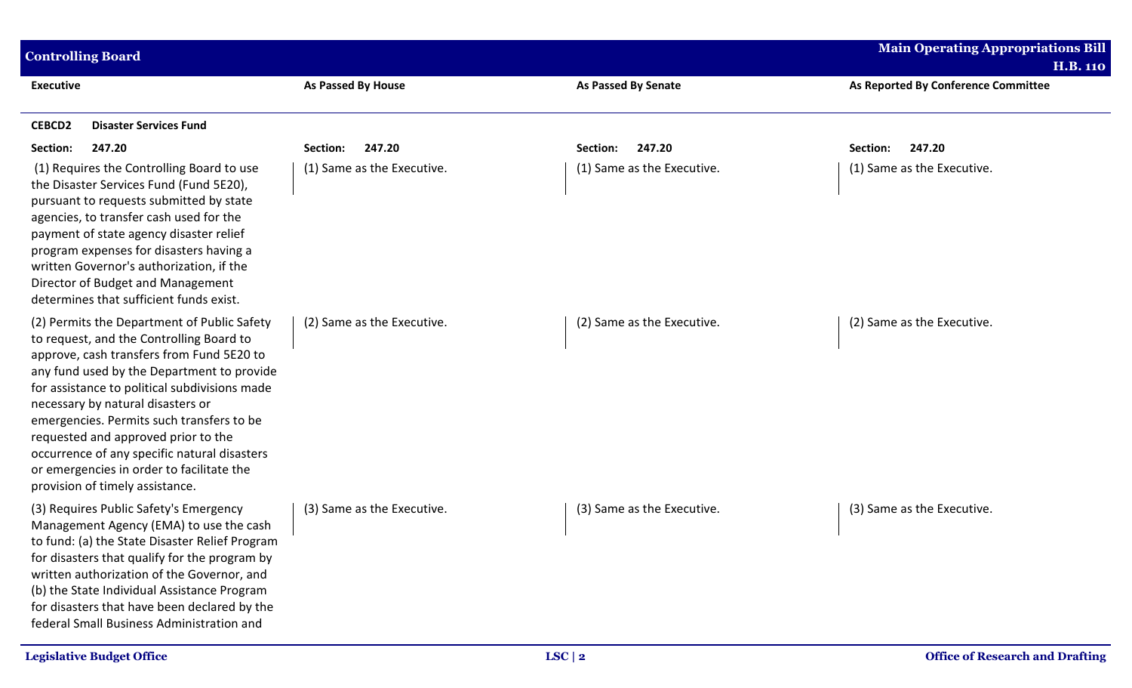| <b>Controlling Board</b>                                                                                                                                                                                                                                                                                                                                                                                                                                                                     |                            |                            | <b>Main Operating Appropriations Bill</b>              |
|----------------------------------------------------------------------------------------------------------------------------------------------------------------------------------------------------------------------------------------------------------------------------------------------------------------------------------------------------------------------------------------------------------------------------------------------------------------------------------------------|----------------------------|----------------------------|--------------------------------------------------------|
| <b>Executive</b>                                                                                                                                                                                                                                                                                                                                                                                                                                                                             | As Passed By House         | <b>As Passed By Senate</b> | <b>H.B. 110</b><br>As Reported By Conference Committee |
| <b>CEBCD2</b><br><b>Disaster Services Fund</b>                                                                                                                                                                                                                                                                                                                                                                                                                                               |                            |                            |                                                        |
| Section:<br>247.20                                                                                                                                                                                                                                                                                                                                                                                                                                                                           | 247.20<br>Section:         | 247.20<br>Section:         | 247.20<br>Section:                                     |
| (1) Requires the Controlling Board to use<br>the Disaster Services Fund (Fund 5E20),<br>pursuant to requests submitted by state<br>agencies, to transfer cash used for the<br>payment of state agency disaster relief<br>program expenses for disasters having a<br>written Governor's authorization, if the<br>Director of Budget and Management<br>determines that sufficient funds exist.                                                                                                 | (1) Same as the Executive. | (1) Same as the Executive. | (1) Same as the Executive.                             |
| (2) Permits the Department of Public Safety<br>to request, and the Controlling Board to<br>approve, cash transfers from Fund 5E20 to<br>any fund used by the Department to provide<br>for assistance to political subdivisions made<br>necessary by natural disasters or<br>emergencies. Permits such transfers to be<br>requested and approved prior to the<br>occurrence of any specific natural disasters<br>or emergencies in order to facilitate the<br>provision of timely assistance. | (2) Same as the Executive. | (2) Same as the Executive. | (2) Same as the Executive.                             |
| (3) Requires Public Safety's Emergency<br>Management Agency (EMA) to use the cash<br>to fund: (a) the State Disaster Relief Program<br>for disasters that qualify for the program by<br>written authorization of the Governor, and<br>(b) the State Individual Assistance Program<br>for disasters that have been declared by the<br>federal Small Business Administration and                                                                                                               | (3) Same as the Executive. | (3) Same as the Executive. | (3) Same as the Executive.                             |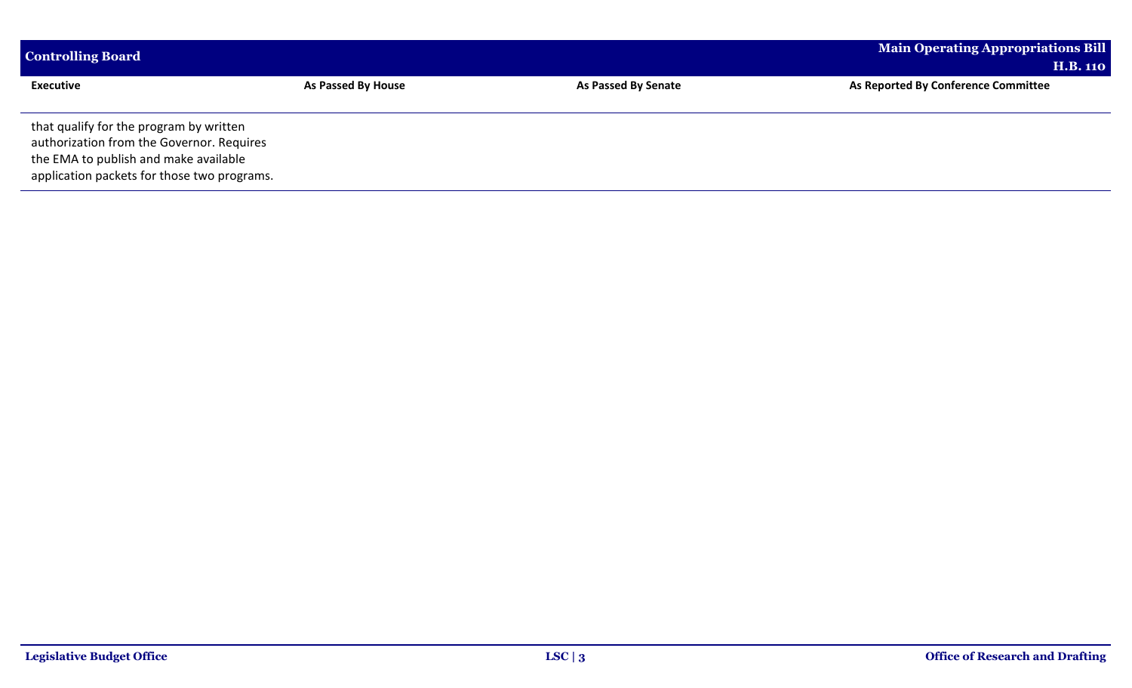| <b>Controlling Board</b>                                                                                                                                                     |                    |                            | <b>Main Operating Appropriations Bill</b> |
|------------------------------------------------------------------------------------------------------------------------------------------------------------------------------|--------------------|----------------------------|-------------------------------------------|
|                                                                                                                                                                              |                    |                            | <b>H.B. 110</b>                           |
| <b>Executive</b>                                                                                                                                                             | As Passed By House | <b>As Passed By Senate</b> | As Reported By Conference Committee       |
| that qualify for the program by written<br>authorization from the Governor. Requires<br>the EMA to publish and make available<br>application packets for those two programs. |                    |                            |                                           |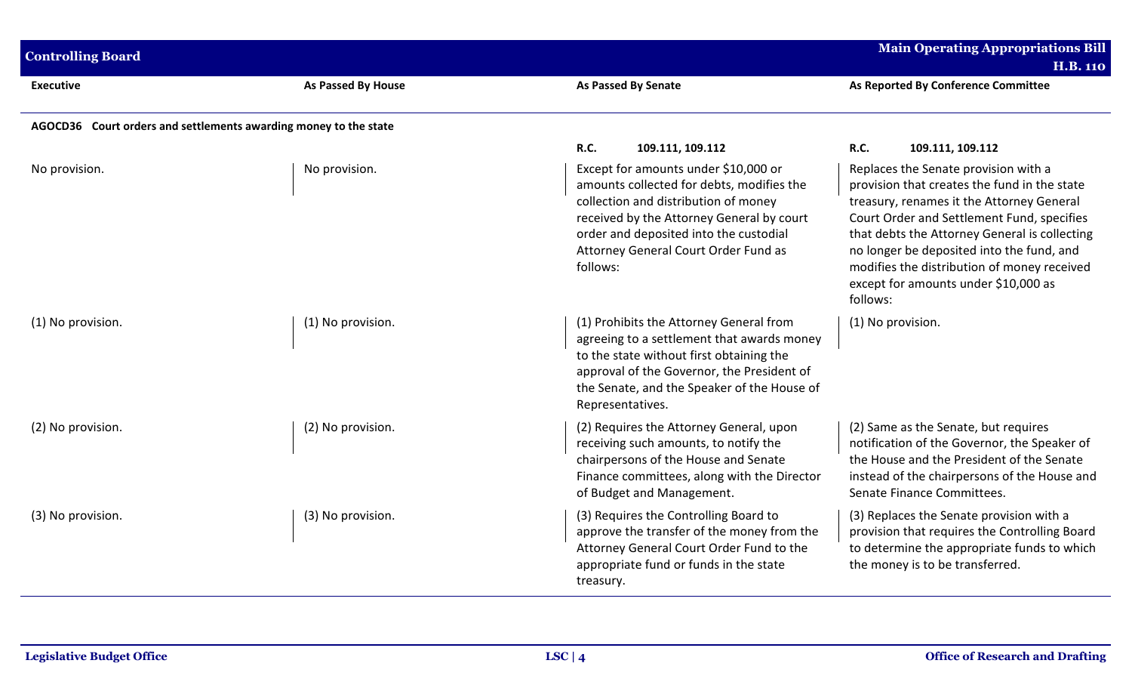| <b>Controlling Board</b>                                         |                           |                                                                                                                                                                                                                                                                      | <b>Main Operating Appropriations Bill</b><br><b>H.B. 110</b>                                                                                                                                                                                                                                                                                                                     |
|------------------------------------------------------------------|---------------------------|----------------------------------------------------------------------------------------------------------------------------------------------------------------------------------------------------------------------------------------------------------------------|----------------------------------------------------------------------------------------------------------------------------------------------------------------------------------------------------------------------------------------------------------------------------------------------------------------------------------------------------------------------------------|
| <b>Executive</b>                                                 | <b>As Passed By House</b> | <b>As Passed By Senate</b>                                                                                                                                                                                                                                           | As Reported By Conference Committee                                                                                                                                                                                                                                                                                                                                              |
| AGOCD36 Court orders and settlements awarding money to the state |                           |                                                                                                                                                                                                                                                                      |                                                                                                                                                                                                                                                                                                                                                                                  |
|                                                                  |                           | <b>R.C.</b><br>109.111, 109.112                                                                                                                                                                                                                                      | R.C.<br>109.111, 109.112                                                                                                                                                                                                                                                                                                                                                         |
| No provision.                                                    | No provision.             | Except for amounts under \$10,000 or<br>amounts collected for debts, modifies the<br>collection and distribution of money<br>received by the Attorney General by court<br>order and deposited into the custodial<br>Attorney General Court Order Fund as<br>follows: | Replaces the Senate provision with a<br>provision that creates the fund in the state<br>treasury, renames it the Attorney General<br>Court Order and Settlement Fund, specifies<br>that debts the Attorney General is collecting<br>no longer be deposited into the fund, and<br>modifies the distribution of money received<br>except for amounts under \$10,000 as<br>follows: |
| (1) No provision.                                                | (1) No provision.         | (1) Prohibits the Attorney General from<br>agreeing to a settlement that awards money<br>to the state without first obtaining the<br>approval of the Governor, the President of<br>the Senate, and the Speaker of the House of<br>Representatives.                   | (1) No provision.                                                                                                                                                                                                                                                                                                                                                                |
| (2) No provision.                                                | (2) No provision.         | (2) Requires the Attorney General, upon<br>receiving such amounts, to notify the<br>chairpersons of the House and Senate<br>Finance committees, along with the Director<br>of Budget and Management.                                                                 | (2) Same as the Senate, but requires<br>notification of the Governor, the Speaker of<br>the House and the President of the Senate<br>instead of the chairpersons of the House and<br>Senate Finance Committees.                                                                                                                                                                  |
| (3) No provision.                                                | (3) No provision.         | (3) Requires the Controlling Board to<br>approve the transfer of the money from the<br>Attorney General Court Order Fund to the<br>appropriate fund or funds in the state<br>treasury.                                                                               | (3) Replaces the Senate provision with a<br>provision that requires the Controlling Board<br>to determine the appropriate funds to which<br>the money is to be transferred.                                                                                                                                                                                                      |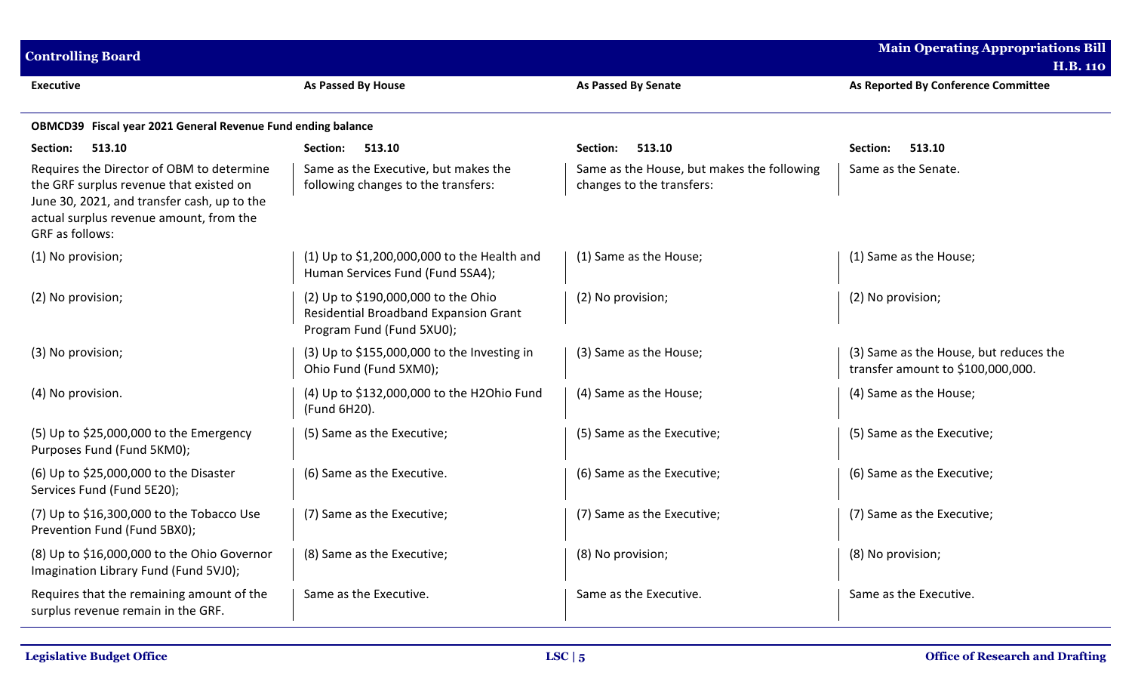| <b>Controlling Board</b>                                                                                                                                                                          |                                                                                                           |                                                                         | <b>Main Operating Appropriations Bill</b><br><b>H.B. 110</b>                |
|---------------------------------------------------------------------------------------------------------------------------------------------------------------------------------------------------|-----------------------------------------------------------------------------------------------------------|-------------------------------------------------------------------------|-----------------------------------------------------------------------------|
| <b>Executive</b>                                                                                                                                                                                  | As Passed By House                                                                                        | <b>As Passed By Senate</b>                                              | As Reported By Conference Committee                                         |
| OBMCD39 Fiscal year 2021 General Revenue Fund ending balance                                                                                                                                      |                                                                                                           |                                                                         |                                                                             |
| 513.10<br>Section:                                                                                                                                                                                | 513.10<br>Section:                                                                                        | 513.10<br>Section:                                                      | Section:<br>513.10                                                          |
| Requires the Director of OBM to determine<br>the GRF surplus revenue that existed on<br>June 30, 2021, and transfer cash, up to the<br>actual surplus revenue amount, from the<br>GRF as follows: | Same as the Executive, but makes the<br>following changes to the transfers:                               | Same as the House, but makes the following<br>changes to the transfers: | Same as the Senate.                                                         |
| (1) No provision;                                                                                                                                                                                 | (1) Up to $$1,200,000,000$ to the Health and<br>Human Services Fund (Fund 5SA4);                          | (1) Same as the House;                                                  | (1) Same as the House;                                                      |
| (2) No provision;                                                                                                                                                                                 | (2) Up to \$190,000,000 to the Ohio<br>Residential Broadband Expansion Grant<br>Program Fund (Fund 5XU0); | (2) No provision;                                                       | (2) No provision;                                                           |
| (3) No provision;                                                                                                                                                                                 | $(3)$ Up to \$155,000,000 to the Investing in<br>Ohio Fund (Fund 5XM0);                                   | (3) Same as the House;                                                  | (3) Same as the House, but reduces the<br>transfer amount to \$100,000,000. |
| (4) No provision.                                                                                                                                                                                 | (4) Up to \$132,000,000 to the H2Ohio Fund<br>(Fund 6H20).                                                | (4) Same as the House;                                                  | (4) Same as the House;                                                      |
| (5) Up to \$25,000,000 to the Emergency<br>Purposes Fund (Fund 5KM0);                                                                                                                             | (5) Same as the Executive;                                                                                | (5) Same as the Executive;                                              | (5) Same as the Executive;                                                  |
| (6) Up to \$25,000,000 to the Disaster<br>Services Fund (Fund 5E20);                                                                                                                              | (6) Same as the Executive.                                                                                | (6) Same as the Executive;                                              | (6) Same as the Executive;                                                  |
| $(7)$ Up to \$16,300,000 to the Tobacco Use<br>Prevention Fund (Fund 5BX0);                                                                                                                       | (7) Same as the Executive;                                                                                | (7) Same as the Executive;                                              | (7) Same as the Executive;                                                  |
| (8) Up to \$16,000,000 to the Ohio Governor<br>Imagination Library Fund (Fund 5VJ0);                                                                                                              | (8) Same as the Executive;                                                                                | (8) No provision;                                                       | (8) No provision;                                                           |
| Requires that the remaining amount of the<br>surplus revenue remain in the GRF.                                                                                                                   | Same as the Executive.                                                                                    | Same as the Executive.                                                  | Same as the Executive.                                                      |